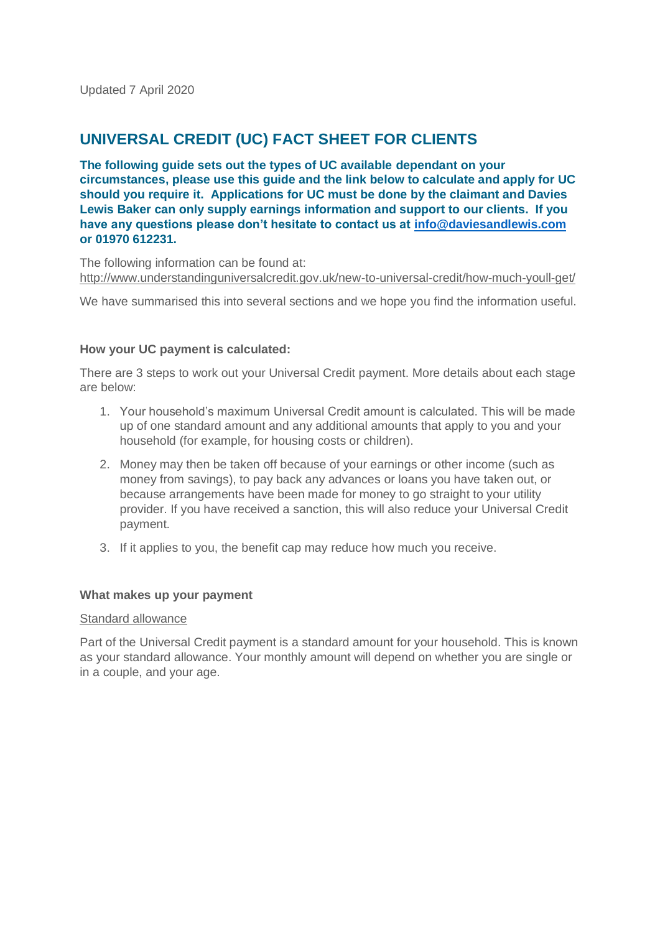# **UNIVERSAL CREDIT (UC) FACT SHEET FOR CLIENTS**

**The following guide sets out the types of UC available dependant on your circumstances, please use this guide and the link below to calculate and apply for UC should you require it. Applications for UC must be done by the claimant and Davies Lewis Baker can only supply earnings information and support to our clients. If you have any questions please don't hesitate to contact us at [info@daviesandlewis.com](mailto:info@daviesandlewis.com) or 01970 612231.**

The following information can be found at: <http://www.understandinguniversalcredit.gov.uk/new-to-universal-credit/how-much-youll-get/>

We have summarised this into several sections and we hope you find the information useful.

## **How your UC payment is calculated:**

There are 3 steps to work out your Universal Credit payment. More details about each stage are below:

- 1. Your household's maximum Universal Credit amount is calculated. This will be made up of one standard amount and any additional amounts that apply to you and your household (for example, for housing costs or children).
- 2. Money may then be taken off because of your earnings or other income (such as money from savings), to pay back any advances or loans you have taken out, or because arrangements have been made for money to go straight to your utility provider. If you have received a sanction, this will also reduce your Universal Credit payment.
- 3. If it applies to you, the benefit cap may reduce how much you receive.

#### **What makes up your payment**

#### Standard allowance

Part of the Universal Credit payment is a standard amount for your household. This is known as your standard allowance. Your monthly amount will depend on whether you are single or in a couple, and your age.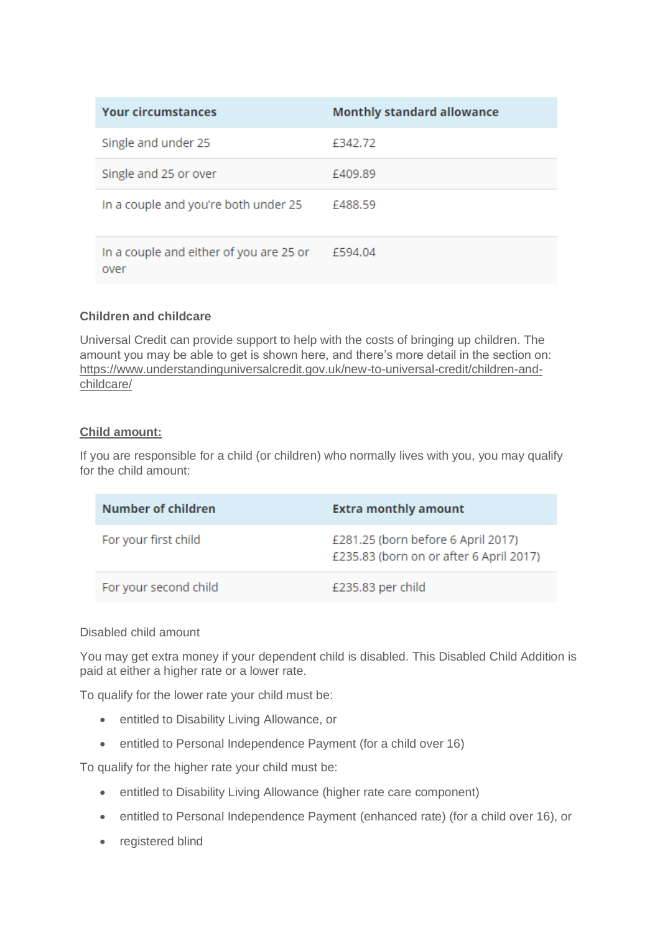| <b>Your circumstances</b>                       | <b>Monthly standard allowance</b> |
|-------------------------------------------------|-----------------------------------|
| Single and under 25                             | £342.72                           |
| Single and 25 or over                           | £409.89                           |
| In a couple and you're both under 25            | £488.59                           |
| In a couple and either of you are 25 or<br>over | £594.04                           |

## **Children and childcare**

Universal Credit can provide support to help with the costs of bringing up children. The amount you may be able to get is shown here, and there's more detail in the section on: [https://www.understandinguniversalcredit.gov.uk/new-to-universal-credit/children-and](https://www.understandinguniversalcredit.gov.uk/new-to-universal-credit/children-and-childcare/)[childcare/](https://www.understandinguniversalcredit.gov.uk/new-to-universal-credit/children-and-childcare/)

## **Child amount:**

If you are responsible for a child (or children) who normally lives with you, you may qualify for the child amount:

| Number of children    | <b>Extra monthly amount</b>                                                   |
|-----------------------|-------------------------------------------------------------------------------|
| For your first child  | £281.25 (born before 6 April 2017)<br>£235.83 (born on or after 6 April 2017) |
| For your second child | £235.83 per child                                                             |

## Disabled child amount

You may get extra money if your dependent child is disabled. This Disabled Child Addition is paid at either a higher rate or a lower rate.

To qualify for the lower rate your child must be:

- entitled to Disability Living Allowance, or
- entitled to Personal Independence Payment (for a child over 16)

To qualify for the higher rate your child must be:

- entitled to Disability Living Allowance (higher rate care component)
- entitled to Personal Independence Payment (enhanced rate) (for a child over 16), or
- registered blind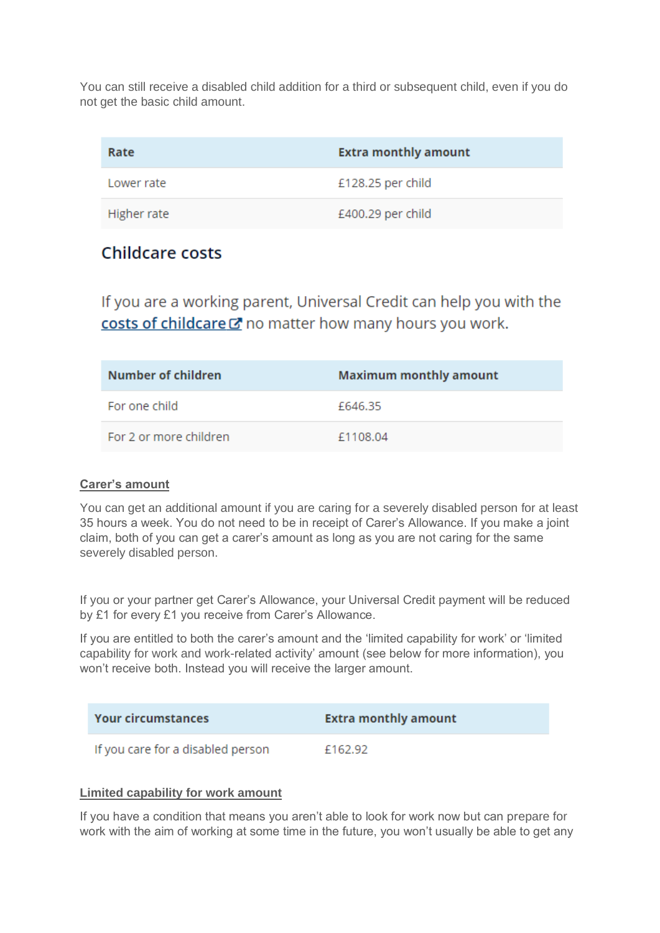You can still receive a disabled child addition for a third or subsequent child, even if you do not get the basic child amount.

| Rate        | <b>Extra monthly amount</b> |
|-------------|-----------------------------|
| Lower rate  | £128.25 per child           |
| Higher rate | £400.29 per child           |

# **Childcare costs**

If you are a working parent, Universal Credit can help you with the costs of childcare & no matter how many hours you work.

| Number of children     | <b>Maximum monthly amount</b> |
|------------------------|-------------------------------|
| For one child          | £646.35                       |
| For 2 or more children | £1108.04                      |

# **Carer's amount**

You can get an additional amount if you are caring for a severely disabled person for at least 35 hours a week. You do not need to be in receipt of Carer's Allowance. If you make a joint claim, both of you can get a carer's amount as long as you are not caring for the same severely disabled person.

If you or your partner get Carer's Allowance, your Universal Credit payment will be reduced by £1 for every £1 you receive from Carer's Allowance.

If you are entitled to both the carer's amount and the 'limited capability for work' or 'limited capability for work and work-related activity' amount (see below for more information), you won't receive both. Instead you will receive the larger amount.

| <b>Your circumstances</b>         | <b>Extra monthly amount</b> |
|-----------------------------------|-----------------------------|
| If you care for a disabled person | £162.92                     |

## **Limited capability for work amount**

If you have a condition that means you aren't able to look for work now but can prepare for work with the aim of working at some time in the future, you won't usually be able to get any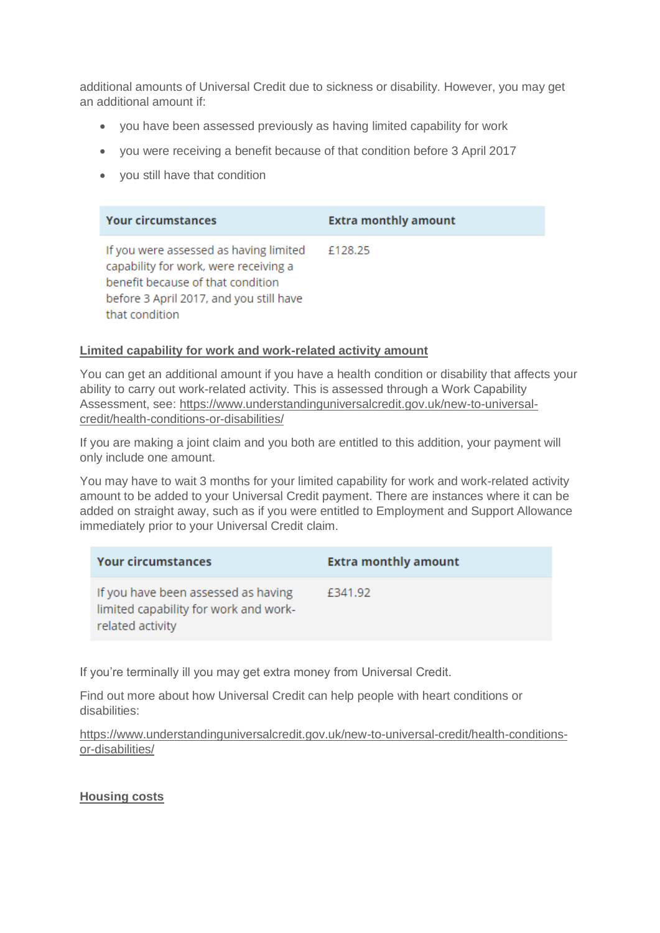additional amounts of Universal Credit due to sickness or disability. However, you may get an additional amount if:

- you have been assessed previously as having limited capability for work
- you were receiving a benefit because of that condition before 3 April 2017
- you still have that condition

| <b>Your circumstances</b>                                                                                                                                                         | <b>Extra monthly amount</b> |
|-----------------------------------------------------------------------------------------------------------------------------------------------------------------------------------|-----------------------------|
| If you were assessed as having limited<br>capability for work, were receiving a<br>benefit because of that condition<br>before 3 April 2017, and you still have<br>that condition | £128.25                     |

## **Limited capability for work and work-related activity amount**

You can get an additional amount if you have a health condition or disability that affects your ability to carry out work-related activity. This is assessed through a Work Capability Assessment, see: [https://www.understandinguniversalcredit.gov.uk/new-to-universal](https://www.understandinguniversalcredit.gov.uk/new-to-universal-credit/health-conditions-or-disabilities/)[credit/health-conditions-or-disabilities/](https://www.understandinguniversalcredit.gov.uk/new-to-universal-credit/health-conditions-or-disabilities/)

If you are making a joint claim and you both are entitled to this addition, your payment will only include one amount.

You may have to wait 3 months for your limited capability for work and work-related activity amount to be added to your Universal Credit payment. There are instances where it can be added on straight away, such as if you were entitled to Employment and Support Allowance immediately prior to your Universal Credit claim.

| <b>Your circumstances</b>                                                                        | <b>Extra monthly amount</b> |
|--------------------------------------------------------------------------------------------------|-----------------------------|
| If you have been assessed as having<br>limited capability for work and work-<br>related activity | £341.92                     |

If you're terminally ill you may get extra money from Universal Credit.

Find out more about how Universal Credit can help people with heart conditions or disabilities:

[https://www.understandinguniversalcredit.gov.uk/new-to-universal-credit/health-conditions](https://www.understandinguniversalcredit.gov.uk/new-to-universal-credit/health-conditions-or-disabilities/)[or-disabilities/](https://www.understandinguniversalcredit.gov.uk/new-to-universal-credit/health-conditions-or-disabilities/)

## **Housing costs**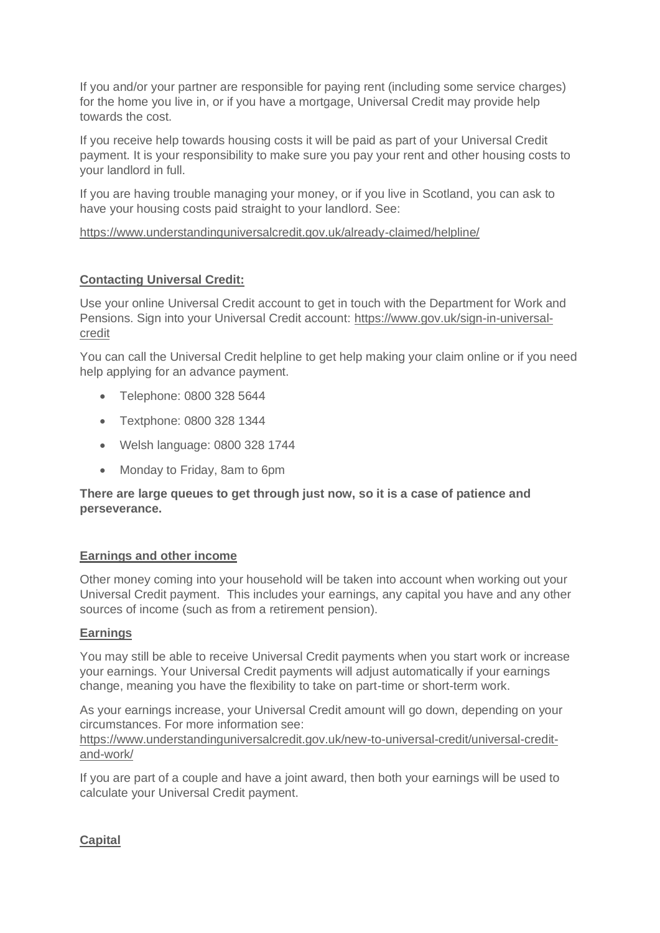If you and/or your partner are responsible for paying rent (including some service charges) for the home you live in, or if you have a mortgage, Universal Credit may provide help towards the cost.

If you receive help towards housing costs it will be paid as part of your Universal Credit payment. It is your responsibility to make sure you pay your rent and other housing costs to your landlord in full.

If you are having trouble managing your money, or if you live in Scotland, you can ask to have your housing costs paid straight to your landlord. See:

<https://www.understandinguniversalcredit.gov.uk/already-claimed/helpline/>

# **Contacting Universal Credit:**

Use your online Universal Credit account to get in touch with the Department for Work and Pensions. Sign into your Universal Credit account: [https://www.gov.uk/sign-in-universal](https://www.gov.uk/sign-in-universal-credit)[credit](https://www.gov.uk/sign-in-universal-credit)

You can call the Universal Credit helpline to get help making your claim online or if you need help applying for an advance payment.

- Telephone: 0800 328 5644
- Textphone: 0800 328 1344
- Welsh language: 0800 328 1744
- Monday to Friday, 8am to 6pm

**There are large queues to get through just now, so it is a case of patience and perseverance.** 

# **Earnings and other income**

Other money coming into your household will be taken into account when working out your Universal Credit payment. This includes your earnings, any capital you have and any other sources of income (such as from a retirement pension).

# **Earnings**

You may still be able to receive Universal Credit payments when you start work or increase your earnings. Your Universal Credit payments will adjust automatically if your earnings change, meaning you have the flexibility to take on part-time or short-term work.

As your earnings increase, your Universal Credit amount will go down, depending on your circumstances. For more information see:

[https://www.understandinguniversalcredit.gov.uk/new-to-universal-credit/universal-credit](https://www.understandinguniversalcredit.gov.uk/new-to-universal-credit/universal-credit-and-work/)[and-work/](https://www.understandinguniversalcredit.gov.uk/new-to-universal-credit/universal-credit-and-work/)

If you are part of a couple and have a joint award, then both your earnings will be used to calculate your Universal Credit payment.

# **Capital**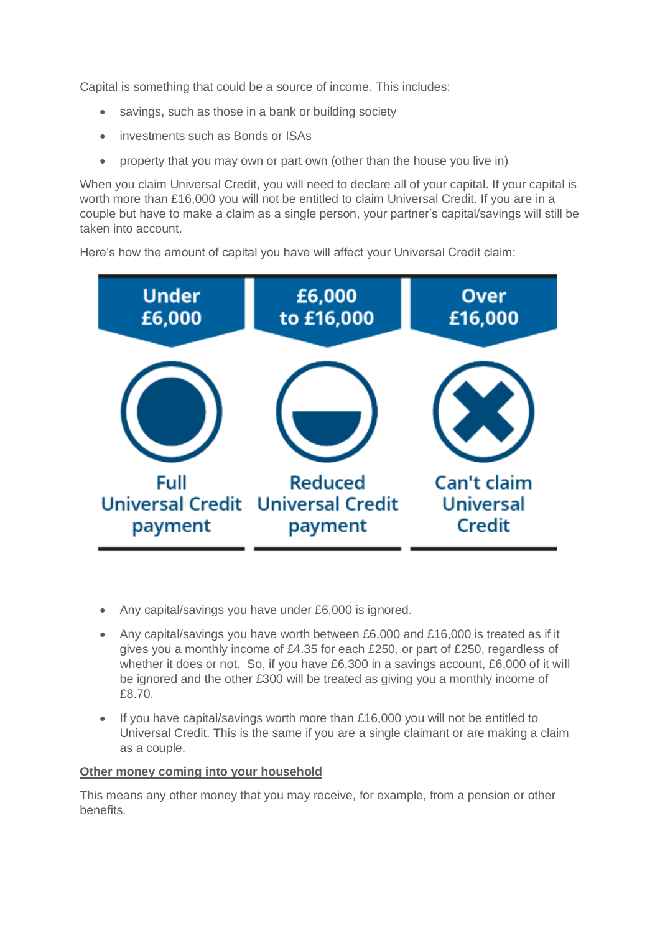Capital is something that could be a source of income. This includes:

- savings, such as those in a bank or building society
- investments such as Bonds or ISAs
- property that you may own or part own (other than the house you live in)

When you claim Universal Credit, you will need to declare all of your capital. If your capital is worth more than £16,000 you will not be entitled to claim Universal Credit. If you are in a couple but have to make a claim as a single person, your partner's capital/savings will still be taken into account.

Here's how the amount of capital you have will affect your Universal Credit claim:



- Any capital/savings you have under £6,000 is ignored.
- Any capital/savings you have worth between  $£6,000$  and  $£16,000$  is treated as if it gives you a monthly income of £4.35 for each £250, or part of £250, regardless of whether it does or not. So, if you have £6,300 in a savings account, £6,000 of it will be ignored and the other £300 will be treated as giving you a monthly income of £8.70.
- If you have capital/savings worth more than £16,000 you will not be entitled to Universal Credit. This is the same if you are a single claimant or are making a claim as a couple.

# **Other money coming into your household**

This means any other money that you may receive, for example, from a pension or other benefits.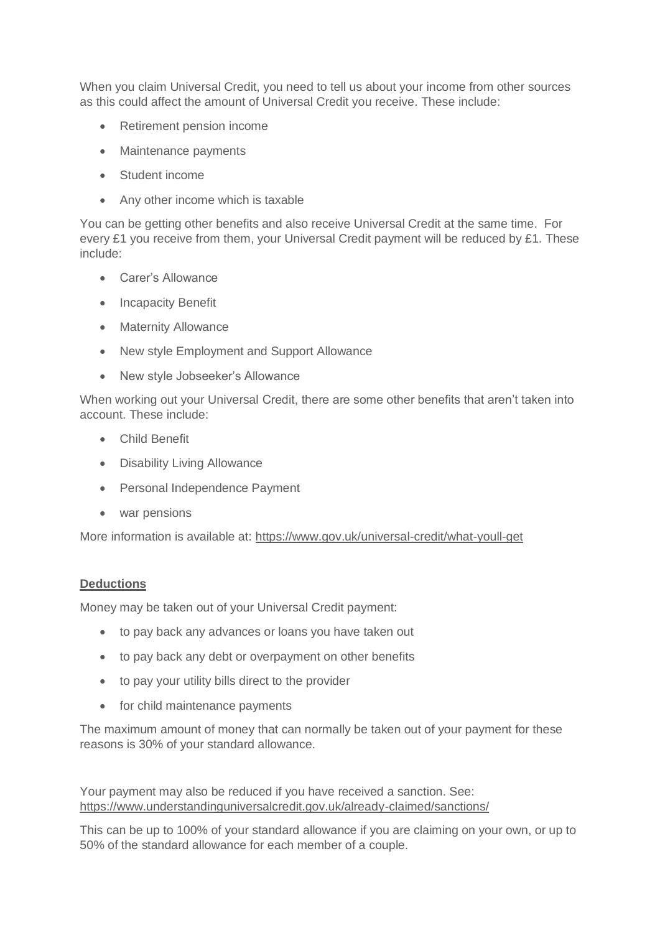When you claim Universal Credit, you need to tell us about your income from other sources as this could affect the amount of Universal Credit you receive. These include:

- Retirement pension income
- Maintenance payments
- Student income
- Any other income which is taxable

You can be getting other benefits and also receive Universal Credit at the same time. For every £1 you receive from them, your Universal Credit payment will be reduced by £1. These include:

- Carer's Allowance
- Incapacity Benefit
- Maternity Allowance
- New style Employment and Support Allowance
- New style Jobseeker's Allowance

When working out your Universal Credit, there are some other benefits that aren't taken into account. These include:

- Child Benefit
- Disability Living Allowance
- Personal Independence Payment
- war pensions

More information is available at:<https://www.gov.uk/universal-credit/what-youll-get>

## **Deductions**

Money may be taken out of your Universal Credit payment:

- to pay back any advances or loans you have taken out
- to pay back any debt or overpayment on other benefits
- to pay your utility bills direct to the provider
- for child maintenance payments

The maximum amount of money that can normally be taken out of your payment for these reasons is 30% of your standard allowance.

Your payment may also be reduced if you have received a sanction. See: <https://www.understandinguniversalcredit.gov.uk/already-claimed/sanctions/>

This can be up to 100% of your standard allowance if you are claiming on your own, or up to 50% of the standard allowance for each member of a couple.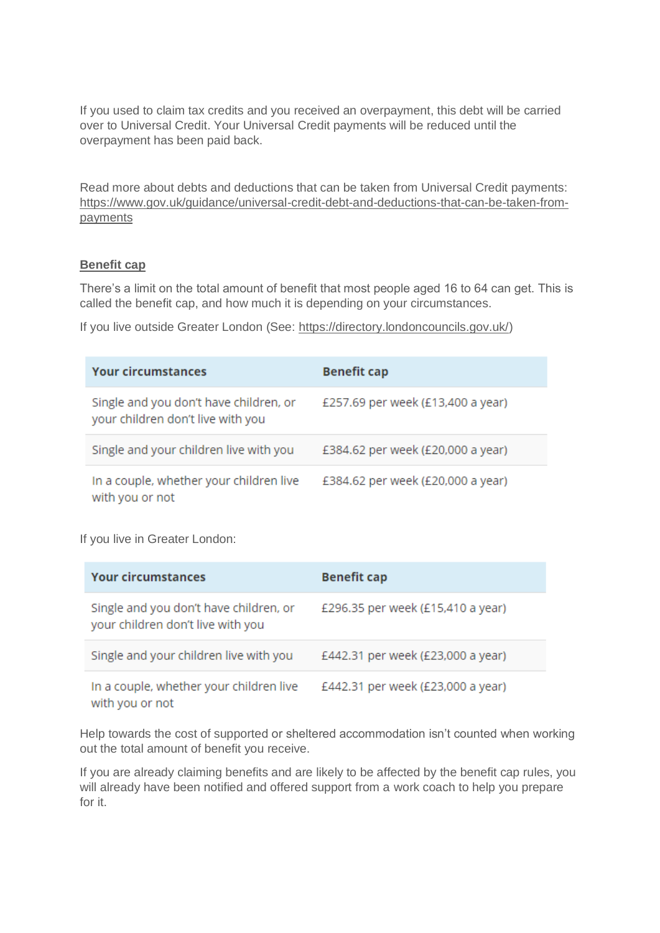If you used to claim tax credits and you received an overpayment, this debt will be carried over to Universal Credit. Your Universal Credit payments will be reduced until the overpayment has been paid back.

Read more about debts and deductions that can be taken from Universal Credit payments: [https://www.gov.uk/guidance/universal-credit-debt-and-deductions-that-can-be-taken-from](https://www.gov.uk/guidance/universal-credit-debt-and-deductions-that-can-be-taken-from-payments)[payments](https://www.gov.uk/guidance/universal-credit-debt-and-deductions-that-can-be-taken-from-payments)

## **Benefit cap**

There's a limit on the total amount of benefit that most people aged 16 to 64 can get. This is called the benefit cap, and how much it is depending on your circumstances.

If you live outside Greater London (See: [https://directory.londoncouncils.gov.uk/\)](https://directory.londoncouncils.gov.uk/)

| <b>Your circumstances</b>                                                   | <b>Benefit cap</b>                |
|-----------------------------------------------------------------------------|-----------------------------------|
| Single and you don't have children, or<br>your children don't live with you | £257.69 per week (£13,400 a year) |
| Single and your children live with you                                      | £384.62 per week (£20,000 a year) |
| In a couple, whether your children live<br>with you or not                  | £384.62 per week (£20,000 a year) |

If you live in Greater London:

| <b>Your circumstances</b>                                                   | <b>Benefit cap</b>                |
|-----------------------------------------------------------------------------|-----------------------------------|
| Single and you don't have children, or<br>your children don't live with you | £296.35 per week (£15,410 a year) |
| Single and your children live with you                                      | £442.31 per week (£23,000 a year) |
| In a couple, whether your children live<br>with you or not                  | £442.31 per week (£23,000 a year) |

Help towards the cost of supported or sheltered accommodation isn't counted when working out the total amount of benefit you receive.

If you are already claiming benefits and are likely to be affected by the benefit cap rules, you will already have been notified and offered support from a work coach to help you prepare for it.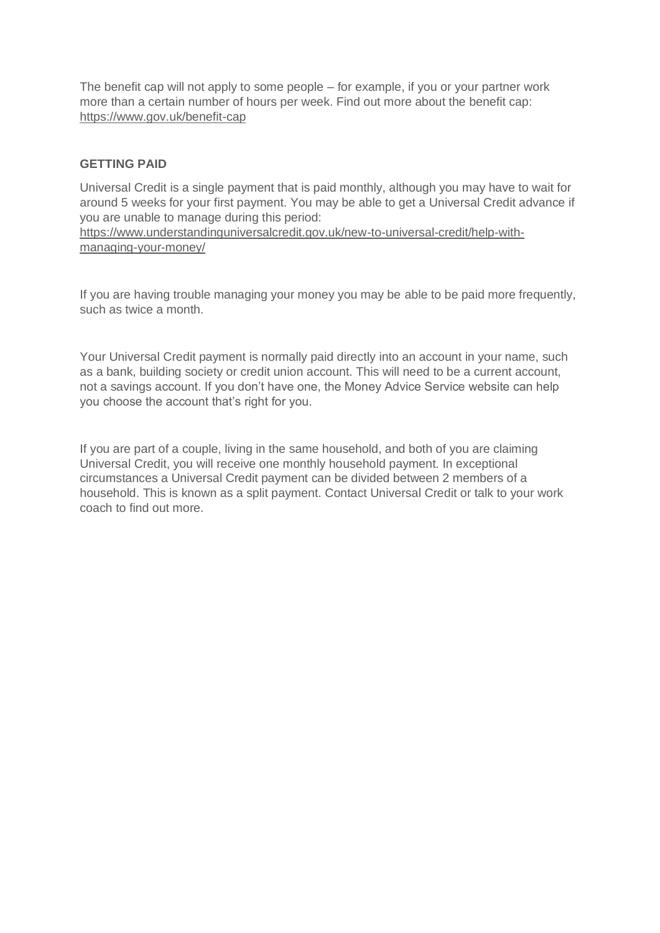The benefit cap will not apply to some people – for example, if you or your partner work more than a certain number of hours per week. Find out more about the benefit cap: <https://www.gov.uk/benefit-cap>

## **GETTING PAID**

Universal Credit is a single payment that is paid monthly, although you may have to wait for around 5 weeks for your first payment. You may be able to get a Universal Credit advance if you are unable to manage during this period:

[https://www.understandinguniversalcredit.gov.uk/new-to-universal-credit/help-with](https://www.understandinguniversalcredit.gov.uk/new-to-universal-credit/help-with-managing-your-money/)[managing-your-money/](https://www.understandinguniversalcredit.gov.uk/new-to-universal-credit/help-with-managing-your-money/)

If you are having trouble managing your money you may be able to be paid more frequently, such as twice a month.

Your Universal Credit payment is normally paid directly into an account in your name, such as a bank, building society or credit union account. This will need to be a current account, not a savings account. If you don't have one, the Money Advice Service website can help you choose the account that's right for you.

If you are part of a couple, living in the same household, and both of you are claiming Universal Credit, you will receive one monthly household payment. In exceptional circumstances a Universal Credit payment can be divided between 2 members of a household. This is known as a split payment. Contact Universal Credit or talk to your work coach to find out more.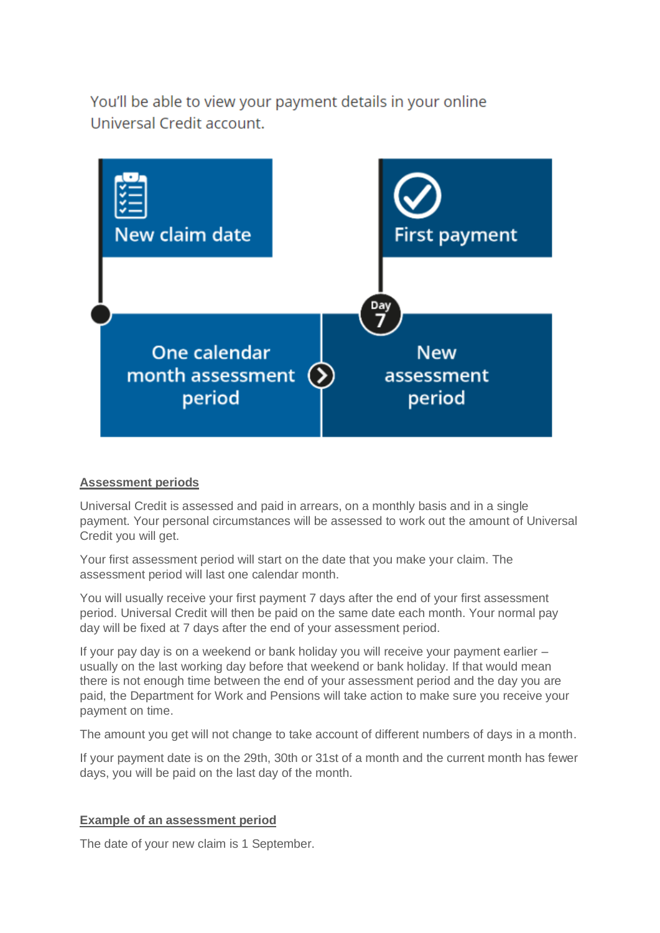You'll be able to view your payment details in your online Universal Credit account.



## **Assessment periods**

Universal Credit is assessed and paid in arrears, on a monthly basis and in a single payment. Your personal circumstances will be assessed to work out the amount of Universal Credit you will get.

Your first assessment period will start on the date that you make your claim. The assessment period will last one calendar month.

You will usually receive your first payment 7 days after the end of your first assessment period. Universal Credit will then be paid on the same date each month. Your normal pay day will be fixed at 7 days after the end of your assessment period.

If your pay day is on a weekend or bank holiday you will receive your payment earlier – usually on the last working day before that weekend or bank holiday. If that would mean there is not enough time between the end of your assessment period and the day you are paid, the Department for Work and Pensions will take action to make sure you receive your payment on time.

The amount you get will not change to take account of different numbers of days in a month.

If your payment date is on the 29th, 30th or 31st of a month and the current month has fewer days, you will be paid on the last day of the month.

# **Example of an assessment period**

The date of your new claim is 1 September.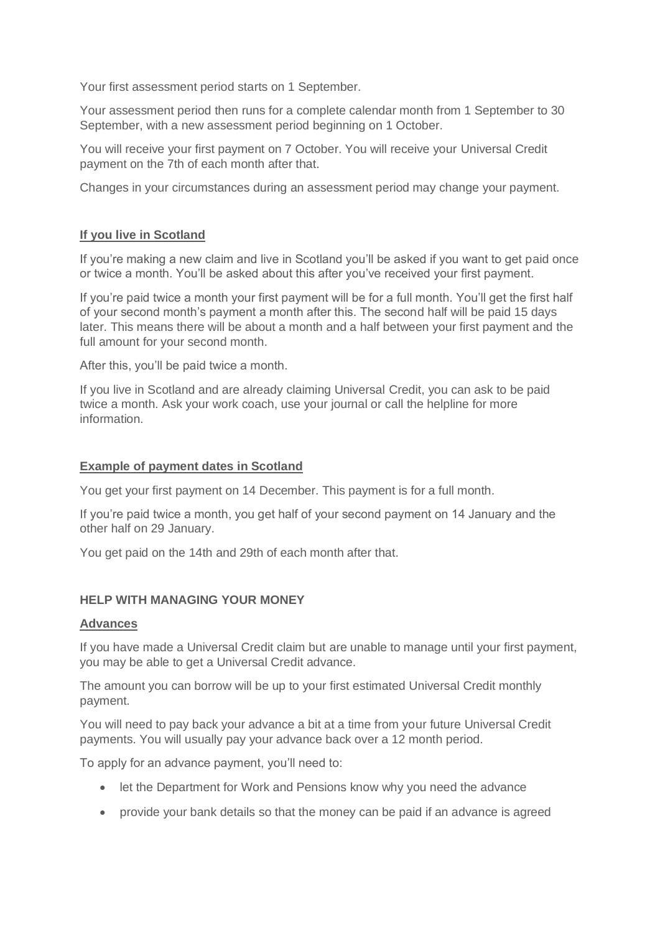Your first assessment period starts on 1 September.

Your assessment period then runs for a complete calendar month from 1 September to 30 September, with a new assessment period beginning on 1 October.

You will receive your first payment on 7 October. You will receive your Universal Credit payment on the 7th of each month after that.

Changes in your circumstances during an assessment period may change your payment.

## **If you live in Scotland**

If you're making a new claim and live in Scotland you'll be asked if you want to get paid once or twice a month. You'll be asked about this after you've received your first payment.

If you're paid twice a month your first payment will be for a full month. You'll get the first half of your second month's payment a month after this. The second half will be paid 15 days later. This means there will be about a month and a half between your first payment and the full amount for your second month.

After this, you'll be paid twice a month.

If you live in Scotland and are already claiming Universal Credit, you can ask to be paid twice a month. Ask your work coach, use your journal or call the helpline for more information.

#### **Example of payment dates in Scotland**

You get your first payment on 14 December. This payment is for a full month.

If you're paid twice a month, you get half of your second payment on 14 January and the other half on 29 January.

You get paid on the 14th and 29th of each month after that.

## **HELP WITH MANAGING YOUR MONEY**

#### **Advances**

If you have made a Universal Credit claim but are unable to manage until your first payment, you may be able to get a Universal Credit advance.

The amount you can borrow will be up to your first estimated Universal Credit monthly payment.

You will need to pay back your advance a bit at a time from your future Universal Credit payments. You will usually pay your advance back over a 12 month period.

To apply for an advance payment, you'll need to:

- let the Department for Work and Pensions know why you need the advance
- provide your bank details so that the money can be paid if an advance is agreed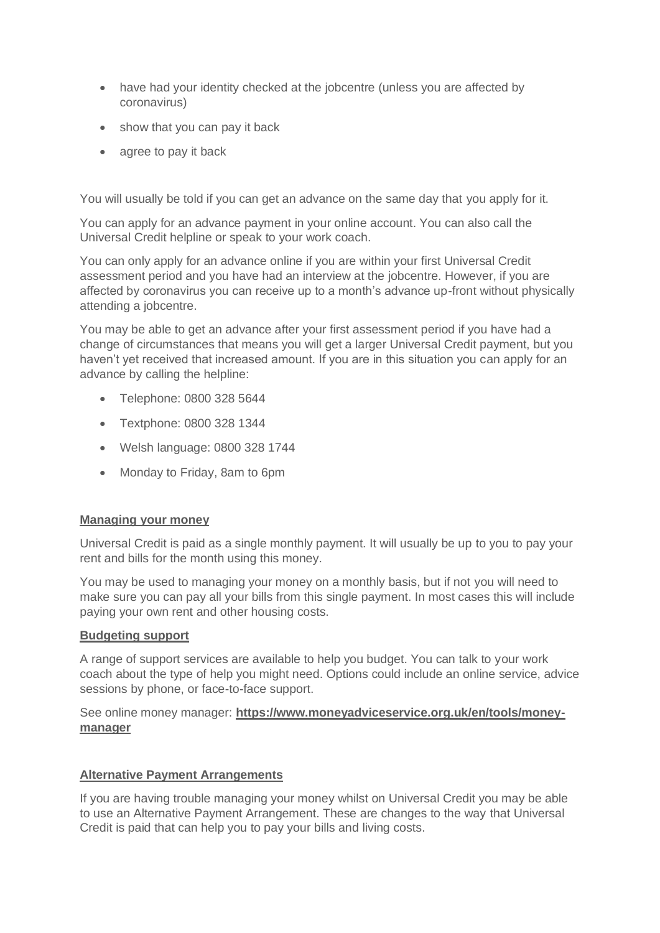- have had your identity checked at the jobcentre (unless you are affected by coronavirus)
- show that you can pay it back
- agree to pay it back

You will usually be told if you can get an advance on the same day that you apply for it.

You can apply for an advance payment in your online account. You can also call the Universal Credit helpline or speak to your work coach.

You can only apply for an advance online if you are within your first Universal Credit assessment period and you have had an interview at the jobcentre. However, if you are affected by coronavirus you can receive up to a month's advance up-front without physically attending a jobcentre.

You may be able to get an advance after your first assessment period if you have had a change of circumstances that means you will get a larger Universal Credit payment, but you haven't yet received that increased amount. If you are in this situation you can apply for an advance by calling the helpline:

- Telephone: 0800 328 5644
- Textphone: 0800 328 1344
- Welsh language: 0800 328 1744
- Monday to Friday, 8am to 6pm

## **Managing your money**

Universal Credit is paid as a single monthly payment. It will usually be up to you to pay your rent and bills for the month using this money.

You may be used to managing your money on a monthly basis, but if not you will need to make sure you can pay all your bills from this single payment. In most cases this will include paying your own rent and other housing costs.

## **Budgeting support**

A range of support services are available to help you budget. You can talk to your work coach about the type of help you might need. Options could include an online service, advice sessions by phone, or face-to-face support.

See online money manager: **[https://www.moneyadviceservice.org.uk/en/tools/money](https://www.moneyadviceservice.org.uk/en/tools/money-manager)[manager](https://www.moneyadviceservice.org.uk/en/tools/money-manager)**

## **Alternative Payment Arrangements**

If you are having trouble managing your money whilst on Universal Credit you may be able to use an Alternative Payment Arrangement. These are changes to the way that Universal Credit is paid that can help you to pay your bills and living costs.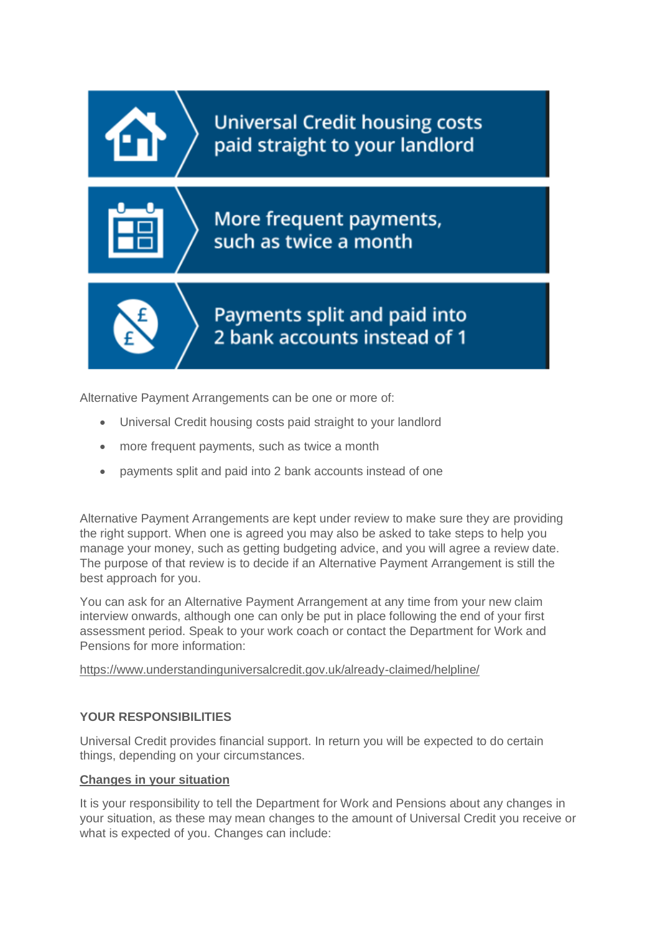

Alternative Payment Arrangements can be one or more of:

- Universal Credit housing costs paid straight to your landlord
- more frequent payments, such as twice a month
- payments split and paid into 2 bank accounts instead of one

Alternative Payment Arrangements are kept under review to make sure they are providing the right support. When one is agreed you may also be asked to take steps to help you manage your money, such as getting budgeting advice, and you will agree a review date. The purpose of that review is to decide if an Alternative Payment Arrangement is still the best approach for you.

You can ask for an Alternative Payment Arrangement at any time from your new claim interview onwards, although one can only be put in place following the end of your first assessment period. Speak to your work coach or contact the Department for Work and Pensions for more information:

<https://www.understandinguniversalcredit.gov.uk/already-claimed/helpline/>

# **YOUR RESPONSIBILITIES**

Universal Credit provides financial support. In return you will be expected to do certain things, depending on your circumstances.

## **Changes in your situation**

It is your responsibility to tell the Department for Work and Pensions about any changes in your situation, as these may mean changes to the amount of Universal Credit you receive or what is expected of you. Changes can include: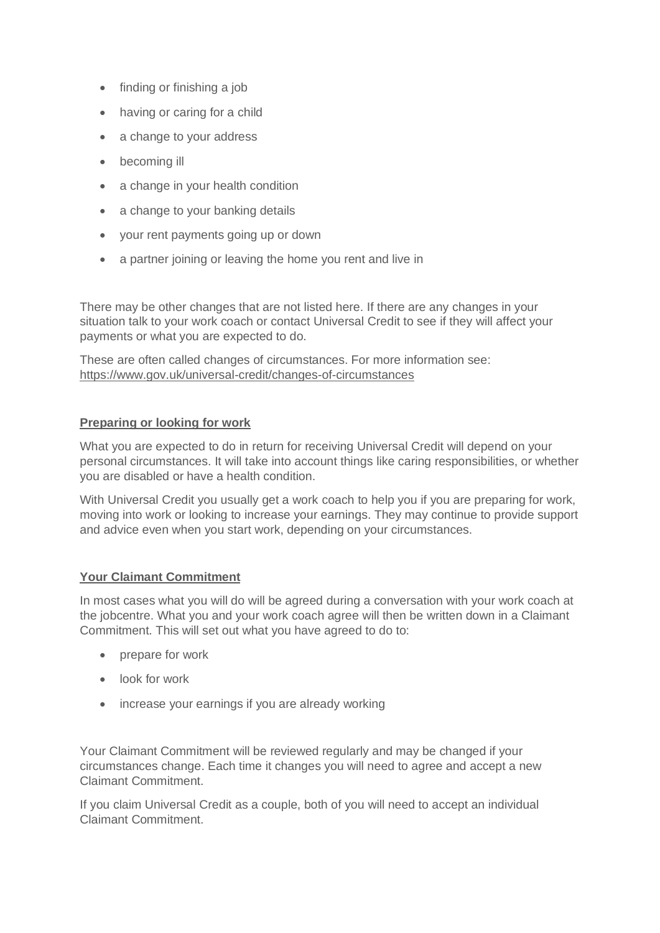- finding or finishing a job
- having or caring for a child
- a change to your address
- becoming ill
- a change in your health condition
- a change to your banking details
- your rent payments going up or down
- a partner joining or leaving the home you rent and live in

There may be other changes that are not listed here. If there are any changes in your situation talk to your work coach or contact Universal Credit to see if they will affect your payments or what you are expected to do.

These are often called changes of circumstances. For more information see: <https://www.gov.uk/universal-credit/changes-of-circumstances>

## **Preparing or looking for work**

What you are expected to do in return for receiving Universal Credit will depend on your personal circumstances. It will take into account things like caring responsibilities, or whether you are disabled or have a health condition.

With Universal Credit you usually get a work coach to help you if you are preparing for work, moving into work or looking to increase your earnings. They may continue to provide support and advice even when you start work, depending on your circumstances.

# **Your Claimant Commitment**

In most cases what you will do will be agreed during a conversation with your work coach at the jobcentre. What you and your work coach agree will then be written down in a Claimant Commitment. This will set out what you have agreed to do to:

- prepare for work
- look for work
- increase your earnings if you are already working

Your Claimant Commitment will be reviewed regularly and may be changed if your circumstances change. Each time it changes you will need to agree and accept a new Claimant Commitment.

If you claim Universal Credit as a couple, both of you will need to accept an individual Claimant Commitment.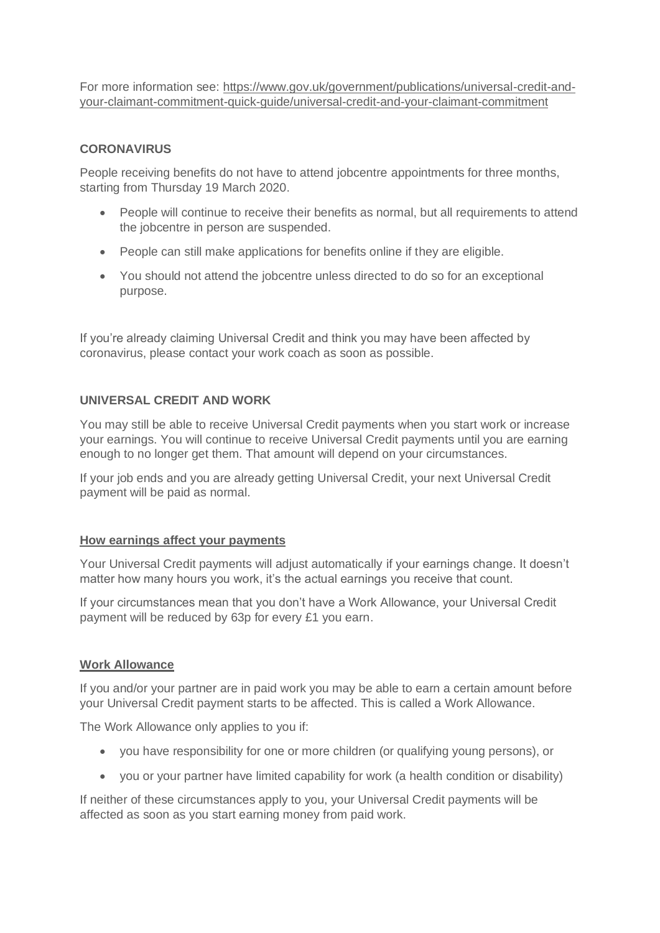For more information see: [https://www.gov.uk/government/publications/universal-credit-and](https://www.gov.uk/government/publications/universal-credit-and-your-claimant-commitment-quick-guide/universal-credit-and-your-claimant-commitment)[your-claimant-commitment-quick-guide/universal-credit-and-your-claimant-commitment](https://www.gov.uk/government/publications/universal-credit-and-your-claimant-commitment-quick-guide/universal-credit-and-your-claimant-commitment)

## **CORONAVIRUS**

People receiving benefits do not have to attend jobcentre appointments for three months, starting from Thursday 19 March 2020.

- People will continue to receive their benefits as normal, but all requirements to attend the jobcentre in person are suspended.
- People can still make applications for benefits online if they are eligible.
- You should not attend the jobcentre unless directed to do so for an exceptional purpose.

If you're already claiming Universal Credit and think you may have been affected by coronavirus, please contact your work coach as soon as possible.

## **UNIVERSAL CREDIT AND WORK**

You may still be able to receive Universal Credit payments when you start work or increase your earnings. You will continue to receive Universal Credit payments until you are earning enough to no longer get them. That amount will depend on your circumstances.

If your job ends and you are already getting Universal Credit, your next Universal Credit payment will be paid as normal.

## **How earnings affect your payments**

Your Universal Credit payments will adjust automatically if your earnings change. It doesn't matter how many hours you work, it's the actual earnings you receive that count.

If your circumstances mean that you don't have a Work Allowance, your Universal Credit payment will be reduced by 63p for every £1 you earn.

## **Work Allowance**

If you and/or your partner are in paid work you may be able to earn a certain amount before your Universal Credit payment starts to be affected. This is called a Work Allowance.

The Work Allowance only applies to you if:

- you have responsibility for one or more children (or qualifying young persons), or
- you or your partner have limited capability for work (a health condition or disability)

If neither of these circumstances apply to you, your Universal Credit payments will be affected as soon as you start earning money from paid work.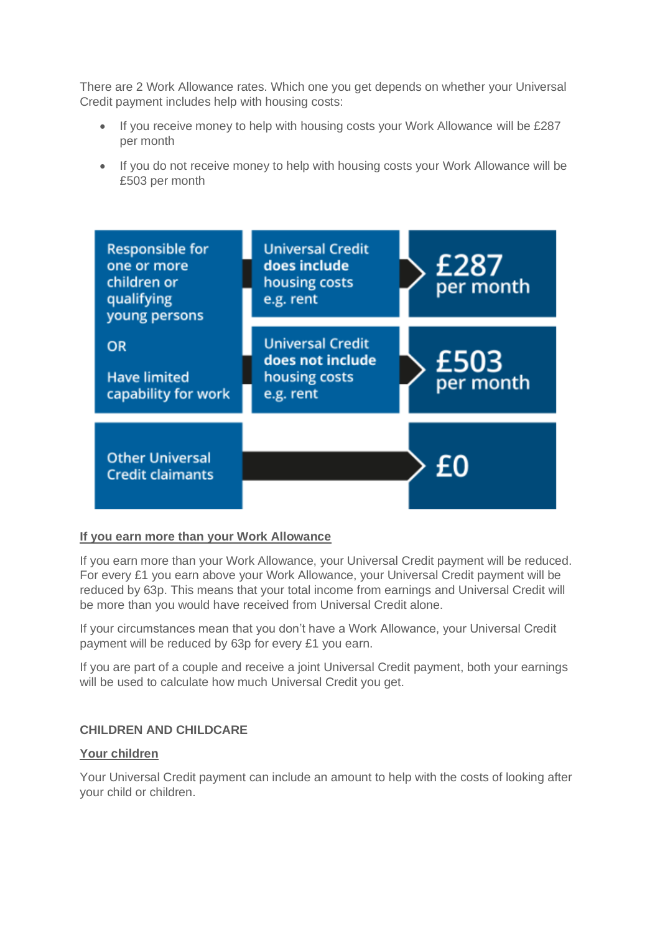There are 2 Work Allowance rates. Which one you get depends on whether your Universal Credit payment includes help with housing costs:

- If you receive money to help with housing costs your Work Allowance will be £287 per month
- If you do not receive money to help with housing costs your Work Allowance will be £503 per month



## **If you earn more than your Work Allowance**

If you earn more than your Work Allowance, your Universal Credit payment will be reduced. For every £1 you earn above your Work Allowance, your Universal Credit payment will be reduced by 63p. This means that your total income from earnings and Universal Credit will be more than you would have received from Universal Credit alone.

If your circumstances mean that you don't have a Work Allowance, your Universal Credit payment will be reduced by 63p for every £1 you earn.

If you are part of a couple and receive a joint Universal Credit payment, both your earnings will be used to calculate how much Universal Credit you get.

# **CHILDREN AND CHILDCARE**

## **Your children**

Your Universal Credit payment can include an amount to help with the costs of looking after your child or children.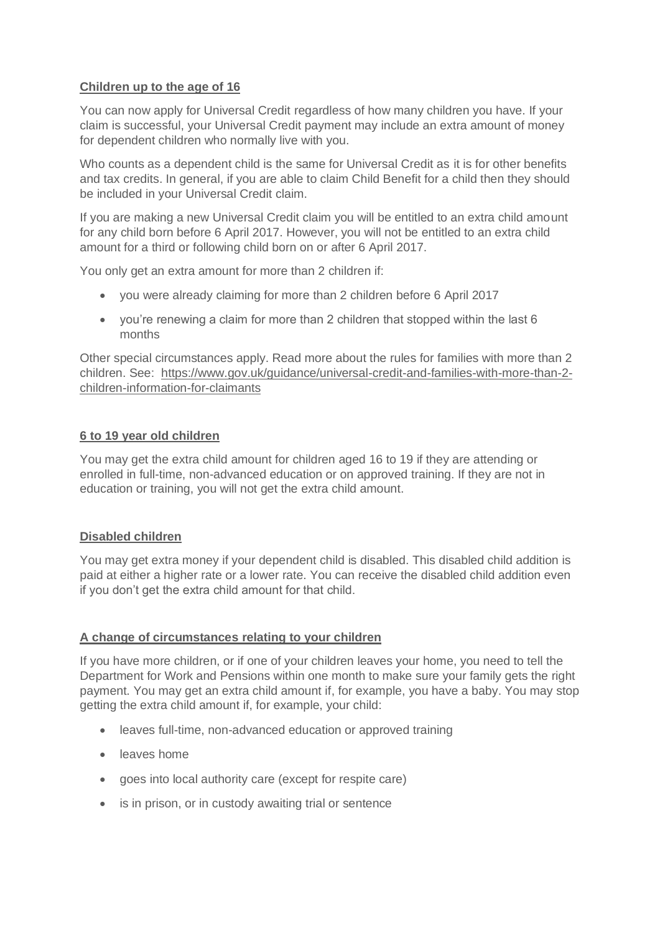## **Children up to the age of 16**

You can now apply for Universal Credit regardless of how many children you have. If your claim is successful, your Universal Credit payment may include an extra amount of money for dependent children who normally live with you.

Who counts as a dependent child is the same for Universal Credit as it is for other benefits and tax credits. In general, if you are able to claim Child Benefit for a child then they should be included in your Universal Credit claim.

If you are making a new Universal Credit claim you will be entitled to an extra child amount for any child born before 6 April 2017. However, you will not be entitled to an extra child amount for a third or following child born on or after 6 April 2017.

You only get an extra amount for more than 2 children if:

- you were already claiming for more than 2 children before 6 April 2017
- you're renewing a claim for more than 2 children that stopped within the last 6 months

Other special circumstances apply. Read more about the rules for families with more than 2 children. See: [https://www.gov.uk/guidance/universal-credit-and-families-with-more-than-2](https://www.gov.uk/guidance/universal-credit-and-families-with-more-than-2-children-information-for-claimants) [children-information-for-claimants](https://www.gov.uk/guidance/universal-credit-and-families-with-more-than-2-children-information-for-claimants)

## **6 to 19 year old children**

You may get the extra child amount for children aged 16 to 19 if they are attending or enrolled in full-time, non-advanced education or on approved training. If they are not in education or training, you will not get the extra child amount.

## **Disabled children**

You may get extra money if your dependent child is disabled. This disabled child addition is paid at either a higher rate or a lower rate. You can receive the disabled child addition even if you don't get the extra child amount for that child.

# **A change of circumstances relating to your children**

If you have more children, or if one of your children leaves your home, you need to tell the Department for Work and Pensions within one month to make sure your family gets the right payment. You may get an extra child amount if, for example, you have a baby. You may stop getting the extra child amount if, for example, your child:

- leaves full-time, non-advanced education or approved training
- leaves home
- goes into local authority care (except for respite care)
- is in prison, or in custody awaiting trial or sentence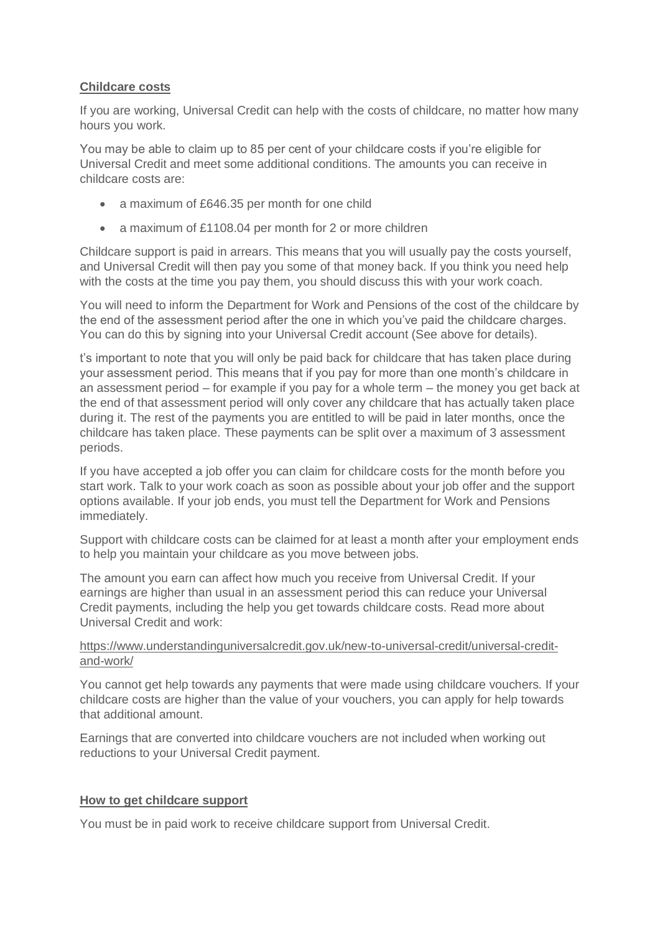## **Childcare costs**

If you are working, Universal Credit can help with the costs of childcare, no matter how many hours you work.

You may be able to claim up to 85 per cent of your childcare costs if you're eligible for Universal Credit and meet some additional conditions. The amounts you can receive in childcare costs are:

- a maximum of £646.35 per month for one child
- a maximum of £1108.04 per month for 2 or more children

Childcare support is paid in arrears. This means that you will usually pay the costs yourself, and Universal Credit will then pay you some of that money back. If you think you need help with the costs at the time you pay them, you should discuss this with your work coach.

You will need to inform the Department for Work and Pensions of the cost of the childcare by the end of the assessment period after the one in which you've paid the childcare charges. You can do this by signing into your Universal Credit account (See above for details).

t's important to note that you will only be paid back for childcare that has taken place during your assessment period. This means that if you pay for more than one month's childcare in an assessment period – for example if you pay for a whole term – the money you get back at the end of that assessment period will only cover any childcare that has actually taken place during it. The rest of the payments you are entitled to will be paid in later months, once the childcare has taken place. These payments can be split over a maximum of 3 assessment periods.

If you have accepted a job offer you can claim for childcare costs for the month before you start work. Talk to your work coach as soon as possible about your job offer and the support options available. If your job ends, you must tell the Department for Work and Pensions immediately.

Support with childcare costs can be claimed for at least a month after your employment ends to help you maintain your childcare as you move between jobs.

The amount you earn can affect how much you receive from Universal Credit. If your earnings are higher than usual in an assessment period this can reduce your Universal Credit payments, including the help you get towards childcare costs. Read more about Universal Credit and work:

## [https://www.understandinguniversalcredit.gov.uk/new-to-universal-credit/universal-credit](https://www.understandinguniversalcredit.gov.uk/new-to-universal-credit/universal-credit-and-work/)[and-work/](https://www.understandinguniversalcredit.gov.uk/new-to-universal-credit/universal-credit-and-work/)

You cannot get help towards any payments that were made using childcare vouchers. If your childcare costs are higher than the value of your vouchers, you can apply for help towards that additional amount.

Earnings that are converted into childcare vouchers are not included when working out reductions to your Universal Credit payment.

# **How to get childcare support**

You must be in paid work to receive childcare support from Universal Credit.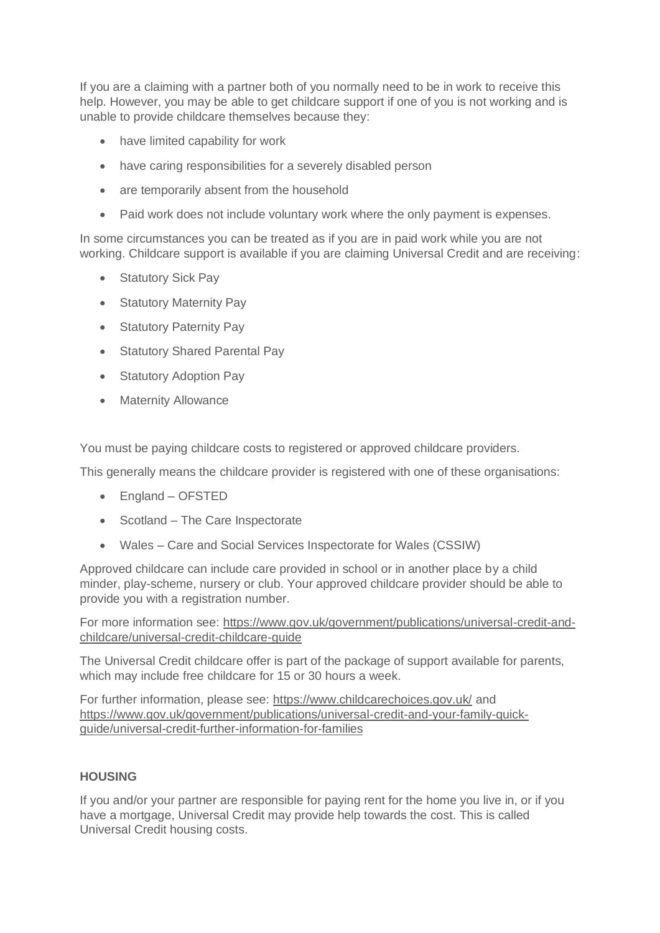If you are a claiming with a partner both of you normally need to be in work to receive this help. However, you may be able to get childcare support if one of you is not working and is unable to provide childcare themselves because they:

- have limited capability for work
- have caring responsibilities for a severely disabled person
- are temporarily absent from the household
- Paid work does not include voluntary work where the only payment is expenses.

In some circumstances you can be treated as if you are in paid work while you are not working. Childcare support is available if you are claiming Universal Credit and are receiving:

- Statutory Sick Pay
- Statutory Maternity Pay
- Statutory Paternity Pay
- Statutory Shared Parental Pay
- Statutory Adoption Pay
- Maternity Allowance

You must be paying childcare costs to registered or approved childcare providers.

This generally means the childcare provider is registered with one of these organisations:

- England OFSTED
- Scotland The Care Inspectorate
- Wales Care and Social Services Inspectorate for Wales (CSSIW)

Approved childcare can include care provided in school or in another place by a child minder, play-scheme, nursery or club. Your approved childcare provider should be able to provide you with a registration number.

For more information see: [https://www.gov.uk/government/publications/universal-credit-and](https://www.gov.uk/government/publications/universal-credit-and-childcare/universal-credit-childcare-guide)[childcare/universal-credit-childcare-guide](https://www.gov.uk/government/publications/universal-credit-and-childcare/universal-credit-childcare-guide)

The Universal Credit childcare offer is part of the package of support available for parents, which may include free childcare for 15 or 30 hours a week.

For further information, please see:<https://www.childcarechoices.gov.uk/> and [https://www.gov.uk/government/publications/universal-credit-and-your-family-quick](https://www.gov.uk/government/publications/universal-credit-and-your-family-quick-guide/universal-credit-further-information-for-families)[guide/universal-credit-further-information-for-families](https://www.gov.uk/government/publications/universal-credit-and-your-family-quick-guide/universal-credit-further-information-for-families)

# **HOUSING**

If you and/or your partner are responsible for paying rent for the home you live in, or if you have a mortgage, Universal Credit may provide help towards the cost. This is called Universal Credit housing costs.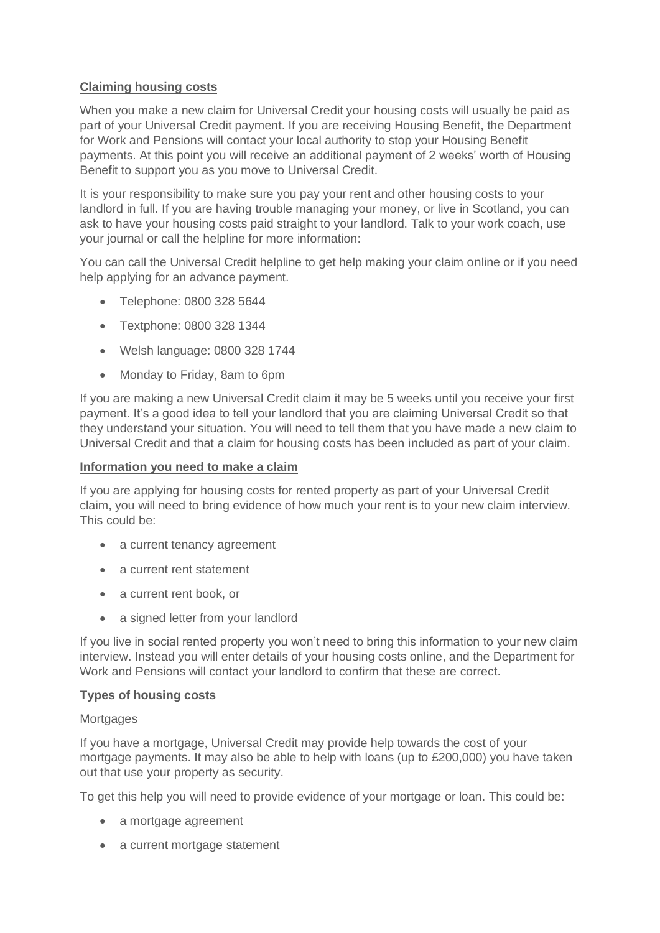## **Claiming housing costs**

When you make a new claim for Universal Credit your housing costs will usually be paid as part of your Universal Credit payment. If you are receiving Housing Benefit, the Department for Work and Pensions will contact your local authority to stop your Housing Benefit payments. At this point you will receive an additional payment of 2 weeks' worth of Housing Benefit to support you as you move to Universal Credit.

It is your responsibility to make sure you pay your rent and other housing costs to your landlord in full. If you are having trouble managing your money, or live in Scotland, you can ask to have your housing costs paid straight to your landlord. Talk to your work coach, use your journal or call the helpline for more information:

You can call the Universal Credit helpline to get help making your claim online or if you need help applying for an advance payment.

- Telephone: 0800 328 5644
- Textphone: 0800 328 1344
- Welsh language: 0800 328 1744
- Monday to Friday, 8am to 6pm

If you are making a new Universal Credit claim it may be 5 weeks until you receive your first payment. It's a good idea to tell your landlord that you are claiming Universal Credit so that they understand your situation. You will need to tell them that you have made a new claim to Universal Credit and that a claim for housing costs has been included as part of your claim.

## **Information you need to make a claim**

If you are applying for housing costs for rented property as part of your Universal Credit claim, you will need to bring evidence of how much your rent is to your new claim interview. This could be:

- a current tenancy agreement
- a current rent statement
- a current rent book, or
- a signed letter from your landlord

If you live in social rented property you won't need to bring this information to your new claim interview. Instead you will enter details of your housing costs online, and the Department for Work and Pensions will contact your landlord to confirm that these are correct.

## **Types of housing costs**

## **Mortgages**

If you have a mortgage, Universal Credit may provide help towards the cost of your mortgage payments. It may also be able to help with loans (up to £200,000) you have taken out that use your property as security.

To get this help you will need to provide evidence of your mortgage or loan. This could be:

- a mortgage agreement
- a current mortgage statement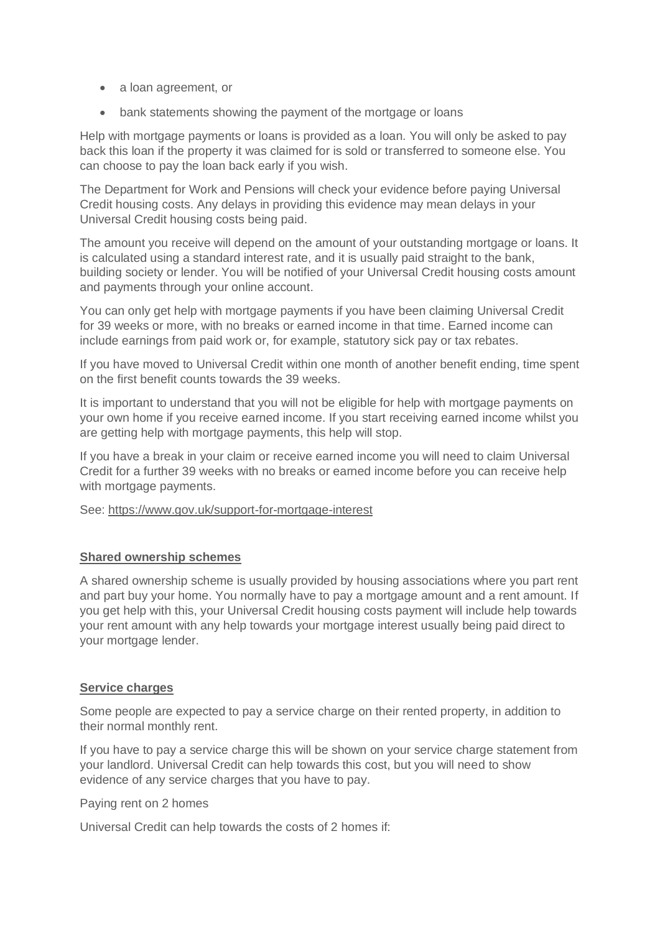- a loan agreement, or
- bank statements showing the payment of the mortgage or loans

Help with mortgage payments or loans is provided as a loan. You will only be asked to pay back this loan if the property it was claimed for is sold or transferred to someone else. You can choose to pay the loan back early if you wish.

The Department for Work and Pensions will check your evidence before paying Universal Credit housing costs. Any delays in providing this evidence may mean delays in your Universal Credit housing costs being paid.

The amount you receive will depend on the amount of your outstanding mortgage or loans. It is calculated using a standard interest rate, and it is usually paid straight to the bank, building society or lender. You will be notified of your Universal Credit housing costs amount and payments through your online account.

You can only get help with mortgage payments if you have been claiming Universal Credit for 39 weeks or more, with no breaks or earned income in that time. Earned income can include earnings from paid work or, for example, statutory sick pay or tax rebates.

If you have moved to Universal Credit within one month of another benefit ending, time spent on the first benefit counts towards the 39 weeks.

It is important to understand that you will not be eligible for help with mortgage payments on your own home if you receive earned income. If you start receiving earned income whilst you are getting help with mortgage payments, this help will stop.

If you have a break in your claim or receive earned income you will need to claim Universal Credit for a further 39 weeks with no breaks or earned income before you can receive help with mortgage payments.

See:<https://www.gov.uk/support-for-mortgage-interest>

## **Shared ownership schemes**

A shared ownership scheme is usually provided by housing associations where you part rent and part buy your home. You normally have to pay a mortgage amount and a rent amount. If you get help with this, your Universal Credit housing costs payment will include help towards your rent amount with any help towards your mortgage interest usually being paid direct to your mortgage lender.

## **Service charges**

Some people are expected to pay a service charge on their rented property, in addition to their normal monthly rent.

If you have to pay a service charge this will be shown on your service charge statement from your landlord. Universal Credit can help towards this cost, but you will need to show evidence of any service charges that you have to pay.

Paying rent on 2 homes

Universal Credit can help towards the costs of 2 homes if: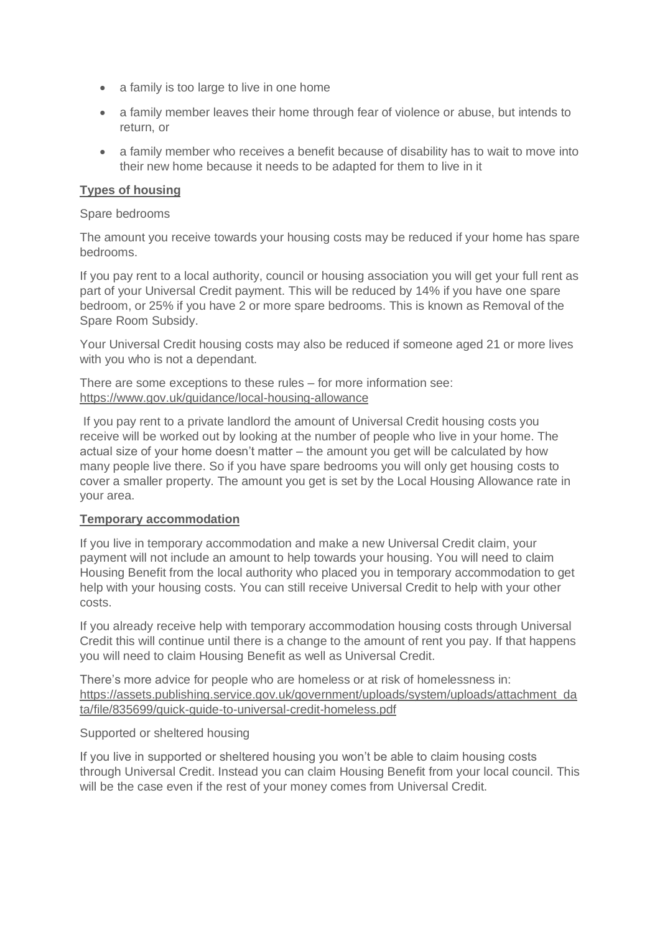- a family is too large to live in one home
- a family member leaves their home through fear of violence or abuse, but intends to return, or
- a family member who receives a benefit because of disability has to wait to move into their new home because it needs to be adapted for them to live in it

## **Types of housing**

#### Spare bedrooms

The amount you receive towards your housing costs may be reduced if your home has spare bedrooms.

If you pay rent to a local authority, council or housing association you will get your full rent as part of your Universal Credit payment. This will be reduced by 14% if you have one spare bedroom, or 25% if you have 2 or more spare bedrooms. This is known as Removal of the Spare Room Subsidy.

Your Universal Credit housing costs may also be reduced if someone aged 21 or more lives with you who is not a dependant.

There are some exceptions to these rules – for more information see: <https://www.gov.uk/guidance/local-housing-allowance>

If you pay rent to a private landlord the amount of Universal Credit housing costs you receive will be worked out by looking at the number of people who live in your home. The actual size of your home doesn't matter – the amount you get will be calculated by how many people live there. So if you have spare bedrooms you will only get housing costs to cover a smaller property. The amount you get is set by the Local Housing Allowance rate in your area.

## **Temporary accommodation**

If you live in temporary accommodation and make a new Universal Credit claim, your payment will not include an amount to help towards your housing. You will need to claim Housing Benefit from the local authority who placed you in temporary accommodation to get help with your housing costs. You can still receive Universal Credit to help with your other costs.

If you already receive help with temporary accommodation housing costs through Universal Credit this will continue until there is a change to the amount of rent you pay. If that happens you will need to claim Housing Benefit as well as Universal Credit.

There's more advice for people who are homeless or at risk of homelessness in: [https://assets.publishing.service.gov.uk/government/uploads/system/uploads/attachment\\_da](https://assets.publishing.service.gov.uk/government/uploads/system/uploads/attachment_data/file/835699/quick-guide-to-universal-credit-homeless.pdf) [ta/file/835699/quick-guide-to-universal-credit-homeless.pdf](https://assets.publishing.service.gov.uk/government/uploads/system/uploads/attachment_data/file/835699/quick-guide-to-universal-credit-homeless.pdf)

#### Supported or sheltered housing

If you live in supported or sheltered housing you won't be able to claim housing costs through Universal Credit. Instead you can claim Housing Benefit from your local council. This will be the case even if the rest of your money comes from Universal Credit.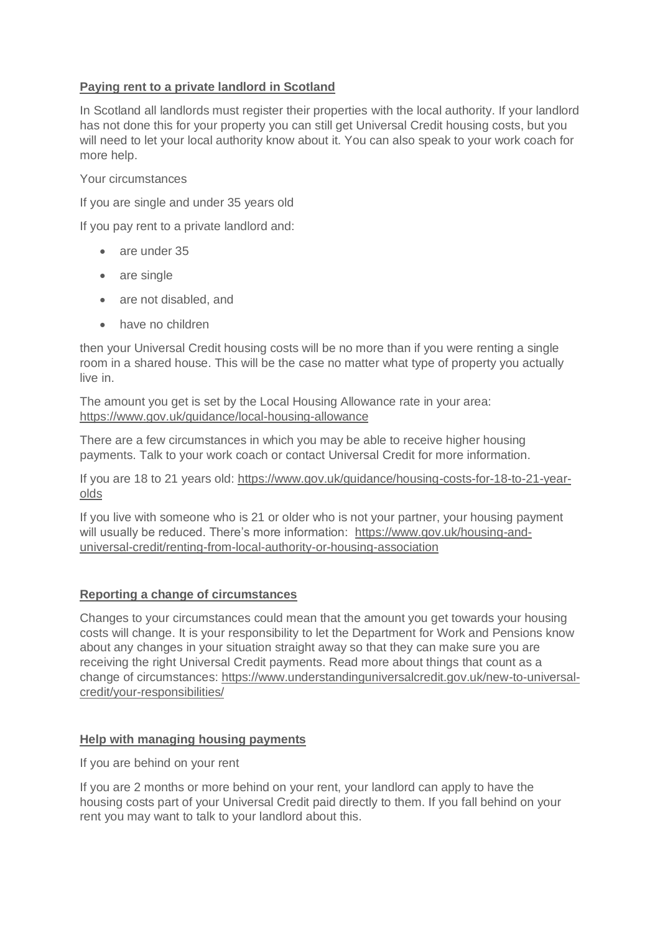## **Paying rent to a private landlord in Scotland**

In Scotland all landlords must register their properties with the local authority. If your landlord has not done this for your property you can still get Universal Credit housing costs, but you will need to let your local authority know about it. You can also speak to your work coach for more help.

Your circumstances

If you are single and under 35 years old

If you pay rent to a private landlord and:

- are under 35
- are single
- are not disabled, and
- have no children

then your Universal Credit housing costs will be no more than if you were renting a single room in a shared house. This will be the case no matter what type of property you actually live in.

The amount you get is set by the Local Housing Allowance rate in your area: <https://www.gov.uk/guidance/local-housing-allowance>

There are a few circumstances in which you may be able to receive higher housing payments. Talk to your work coach or contact Universal Credit for more information.

If you are 18 to 21 years old: [https://www.gov.uk/guidance/housing-costs-for-18-to-21-year](https://www.gov.uk/guidance/housing-costs-for-18-to-21-year-olds)[olds](https://www.gov.uk/guidance/housing-costs-for-18-to-21-year-olds)

If you live with someone who is 21 or older who is not your partner, your housing payment will usually be reduced. There's more information: [https://www.gov.uk/housing-and](https://www.gov.uk/housing-and-universal-credit/renting-from-local-authority-or-housing-association)[universal-credit/renting-from-local-authority-or-housing-association](https://www.gov.uk/housing-and-universal-credit/renting-from-local-authority-or-housing-association)

## **Reporting a change of circumstances**

Changes to your circumstances could mean that the amount you get towards your housing costs will change. It is your responsibility to let the Department for Work and Pensions know about any changes in your situation straight away so that they can make sure you are receiving the right Universal Credit payments. Read more about things that count as a change of circumstances: [https://www.understandinguniversalcredit.gov.uk/new-to-universal](https://www.understandinguniversalcredit.gov.uk/new-to-universal-credit/your-responsibilities/)[credit/your-responsibilities/](https://www.understandinguniversalcredit.gov.uk/new-to-universal-credit/your-responsibilities/)

## **Help with managing housing payments**

If you are behind on your rent

If you are 2 months or more behind on your rent, your landlord can apply to have the housing costs part of your Universal Credit paid directly to them. If you fall behind on your rent you may want to talk to your landlord about this.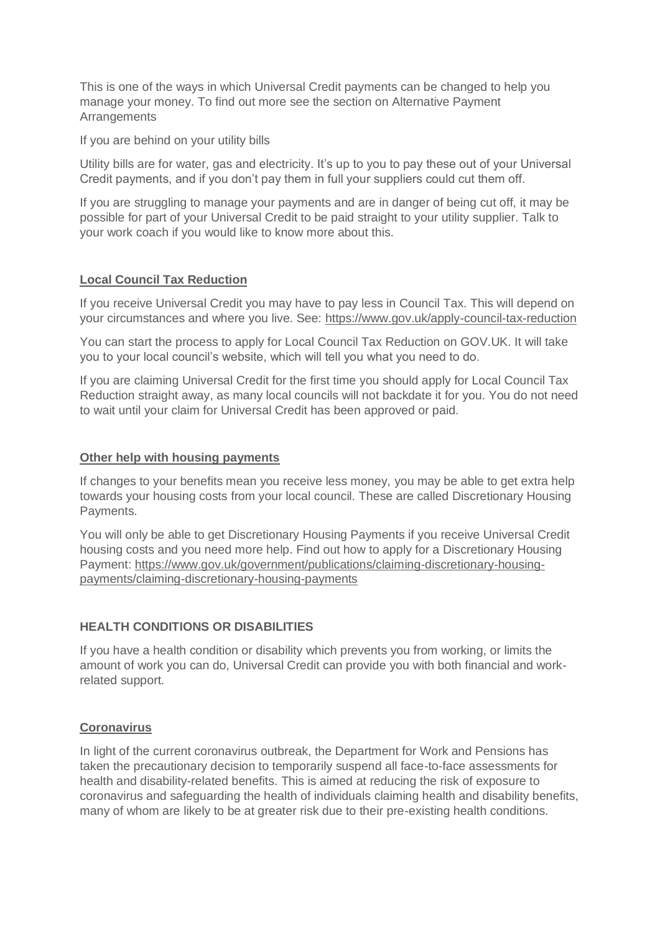This is one of the ways in which Universal Credit payments can be changed to help you manage your money. To find out more see the section on Alternative Payment Arrangements

If you are behind on your utility bills

Utility bills are for water, gas and electricity. It's up to you to pay these out of your Universal Credit payments, and if you don't pay them in full your suppliers could cut them off.

If you are struggling to manage your payments and are in danger of being cut off, it may be possible for part of your Universal Credit to be paid straight to your utility supplier. Talk to your work coach if you would like to know more about this.

# **Local Council Tax Reduction**

If you receive Universal Credit you may have to pay less in Council Tax. This will depend on your circumstances and where you live. See:<https://www.gov.uk/apply-council-tax-reduction>

You can start the process to apply for Local Council Tax Reduction on GOV.UK. It will take you to your local council's website, which will tell you what you need to do.

If you are claiming Universal Credit for the first time you should apply for Local Council Tax Reduction straight away, as many local councils will not backdate it for you. You do not need to wait until your claim for Universal Credit has been approved or paid.

## **Other help with housing payments**

If changes to your benefits mean you receive less money, you may be able to get extra help towards your housing costs from your local council. These are called Discretionary Housing Payments.

You will only be able to get Discretionary Housing Payments if you receive Universal Credit housing costs and you need more help. Find out how to apply for a Discretionary Housing Payment: [https://www.gov.uk/government/publications/claiming-discretionary-housing](https://www.gov.uk/government/publications/claiming-discretionary-housing-payments/claiming-discretionary-housing-payments)[payments/claiming-discretionary-housing-payments](https://www.gov.uk/government/publications/claiming-discretionary-housing-payments/claiming-discretionary-housing-payments)

# **HEALTH CONDITIONS OR DISABILITIES**

If you have a health condition or disability which prevents you from working, or limits the amount of work you can do, Universal Credit can provide you with both financial and workrelated support.

## **Coronavirus**

In light of the current coronavirus outbreak, the Department for Work and Pensions has taken the precautionary decision to temporarily suspend all face-to-face assessments for health and disability-related benefits. This is aimed at reducing the risk of exposure to coronavirus and safeguarding the health of individuals claiming health and disability benefits, many of whom are likely to be at greater risk due to their pre-existing health conditions.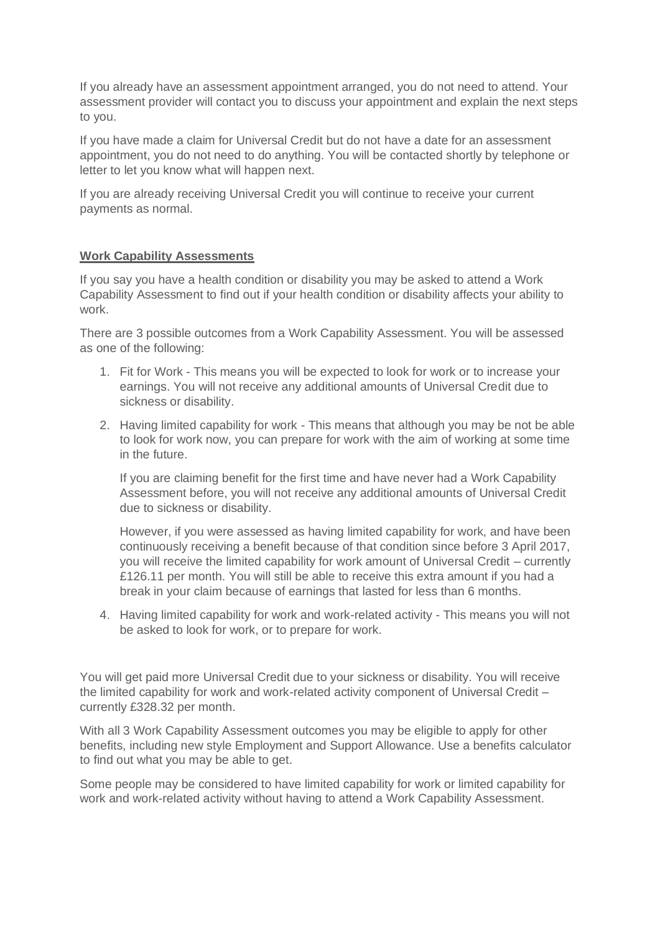If you already have an assessment appointment arranged, you do not need to attend. Your assessment provider will contact you to discuss your appointment and explain the next steps to you.

If you have made a claim for Universal Credit but do not have a date for an assessment appointment, you do not need to do anything. You will be contacted shortly by telephone or letter to let you know what will happen next.

If you are already receiving Universal Credit you will continue to receive your current payments as normal.

# **Work Capability Assessments**

If you say you have a health condition or disability you may be asked to attend a Work Capability Assessment to find out if your health condition or disability affects your ability to work.

There are 3 possible outcomes from a Work Capability Assessment. You will be assessed as one of the following:

- 1. Fit for Work This means you will be expected to look for work or to increase your earnings. You will not receive any additional amounts of Universal Credit due to sickness or disability.
- 2. Having limited capability for work This means that although you may be not be able to look for work now, you can prepare for work with the aim of working at some time in the future.

If you are claiming benefit for the first time and have never had a Work Capability Assessment before, you will not receive any additional amounts of Universal Credit due to sickness or disability.

However, if you were assessed as having limited capability for work, and have been continuously receiving a benefit because of that condition since before 3 April 2017, you will receive the limited capability for work amount of Universal Credit – currently £126.11 per month. You will still be able to receive this extra amount if you had a break in your claim because of earnings that lasted for less than 6 months.

4. Having limited capability for work and work-related activity - This means you will not be asked to look for work, or to prepare for work.

You will get paid more Universal Credit due to your sickness or disability. You will receive the limited capability for work and work-related activity component of Universal Credit – currently £328.32 per month.

With all 3 Work Capability Assessment outcomes you may be eligible to apply for other benefits, including new style Employment and Support Allowance. Use a benefits calculator to find out what you may be able to get.

Some people may be considered to have limited capability for work or limited capability for work and work-related activity without having to attend a Work Capability Assessment.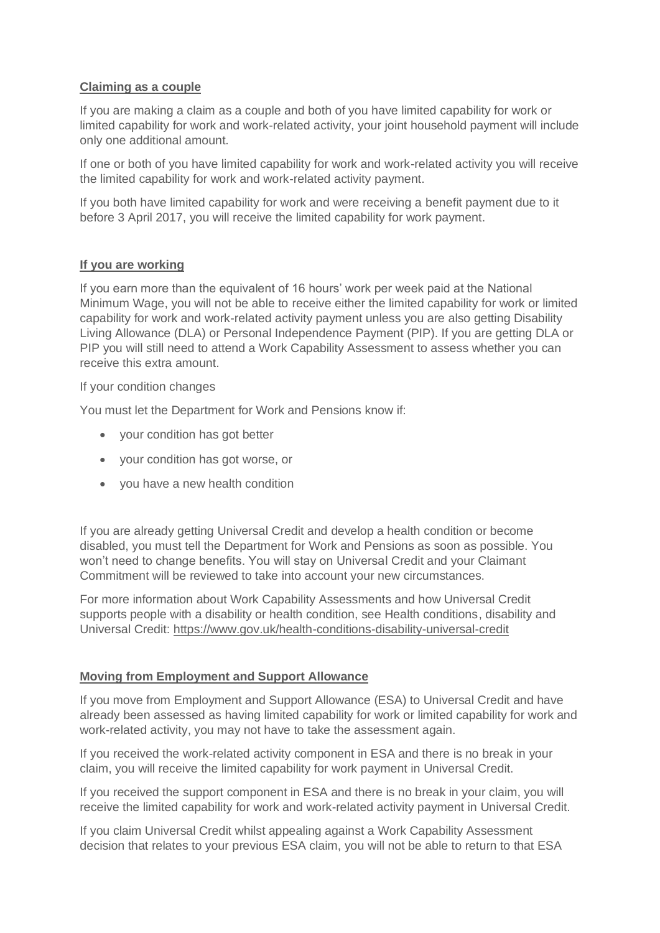## **Claiming as a couple**

If you are making a claim as a couple and both of you have limited capability for work or limited capability for work and work-related activity, your joint household payment will include only one additional amount.

If one or both of you have limited capability for work and work-related activity you will receive the limited capability for work and work-related activity payment.

If you both have limited capability for work and were receiving a benefit payment due to it before 3 April 2017, you will receive the limited capability for work payment.

## **If you are working**

If you earn more than the equivalent of 16 hours' work per week paid at the National Minimum Wage, you will not be able to receive either the limited capability for work or limited capability for work and work-related activity payment unless you are also getting Disability Living Allowance (DLA) or Personal Independence Payment (PIP). If you are getting DLA or PIP you will still need to attend a Work Capability Assessment to assess whether you can receive this extra amount.

If your condition changes

You must let the Department for Work and Pensions know if:

- your condition has got better
- your condition has got worse, or
- you have a new health condition

If you are already getting Universal Credit and develop a health condition or become disabled, you must tell the Department for Work and Pensions as soon as possible. You won't need to change benefits. You will stay on Universal Credit and your Claimant Commitment will be reviewed to take into account your new circumstances.

For more information about Work Capability Assessments and how Universal Credit supports people with a disability or health condition, see Health conditions, disability and Universal Credit:<https://www.gov.uk/health-conditions-disability-universal-credit>

## **Moving from Employment and Support Allowance**

If you move from Employment and Support Allowance (ESA) to Universal Credit and have already been assessed as having limited capability for work or limited capability for work and work-related activity, you may not have to take the assessment again.

If you received the work-related activity component in ESA and there is no break in your claim, you will receive the limited capability for work payment in Universal Credit.

If you received the support component in ESA and there is no break in your claim, you will receive the limited capability for work and work-related activity payment in Universal Credit.

If you claim Universal Credit whilst appealing against a Work Capability Assessment decision that relates to your previous ESA claim, you will not be able to return to that ESA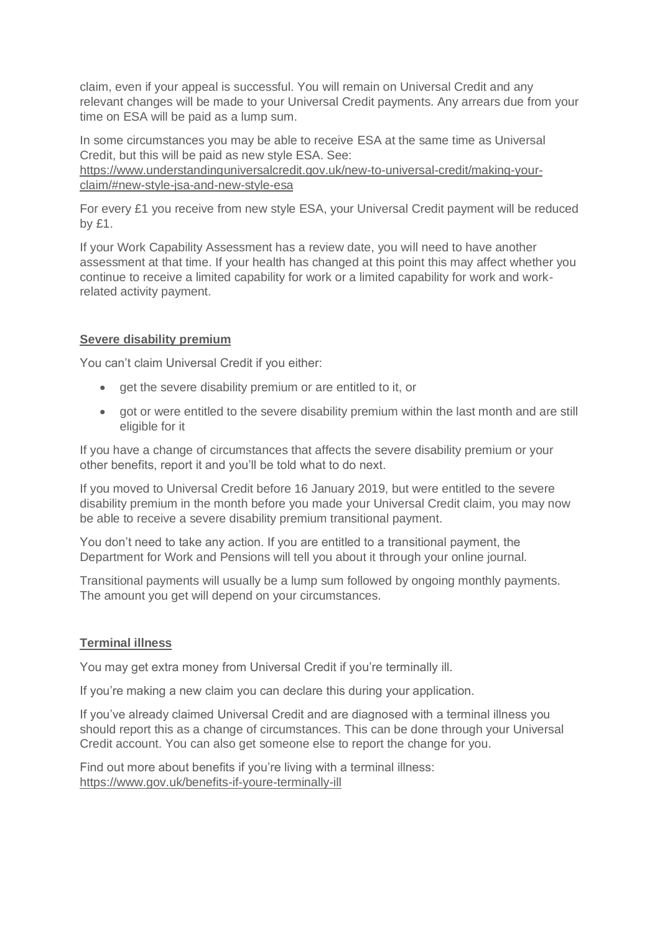claim, even if your appeal is successful. You will remain on Universal Credit and any relevant changes will be made to your Universal Credit payments. Any arrears due from your time on ESA will be paid as a lump sum.

In some circumstances you may be able to receive ESA at the same time as Universal Credit, but this will be paid as new style ESA. See: [https://www.understandinguniversalcredit.gov.uk/new-to-universal-credit/making-your](https://www.understandinguniversalcredit.gov.uk/new-to-universal-credit/making-your-claim/#new-style-jsa-and-new-style-esa)[claim/#new-style-jsa-and-new-style-esa](https://www.understandinguniversalcredit.gov.uk/new-to-universal-credit/making-your-claim/#new-style-jsa-and-new-style-esa)

For every £1 you receive from new style ESA, your Universal Credit payment will be reduced by £1.

If your Work Capability Assessment has a review date, you will need to have another assessment at that time. If your health has changed at this point this may affect whether you continue to receive a limited capability for work or a limited capability for work and workrelated activity payment.

# **Severe disability premium**

You can't claim Universal Credit if you either:

- get the severe disability premium or are entitled to it, or
- got or were entitled to the severe disability premium within the last month and are still eligible for it

If you have a change of circumstances that affects the severe disability premium or your other benefits, report it and you'll be told what to do next.

If you moved to Universal Credit before 16 January 2019, but were entitled to the severe disability premium in the month before you made your Universal Credit claim, you may now be able to receive a severe disability premium transitional payment.

You don't need to take any action. If you are entitled to a transitional payment, the Department for Work and Pensions will tell you about it through your online journal.

Transitional payments will usually be a lump sum followed by ongoing monthly payments. The amount you get will depend on your circumstances.

# **Terminal illness**

You may get extra money from Universal Credit if you're terminally ill.

If you're making a new claim you can declare this during your application.

If you've already claimed Universal Credit and are diagnosed with a terminal illness you should report this as a change of circumstances. This can be done through your Universal Credit account. You can also get someone else to report the change for you.

Find out more about benefits if you're living with a terminal illness: <https://www.gov.uk/benefits-if-youre-terminally-ill>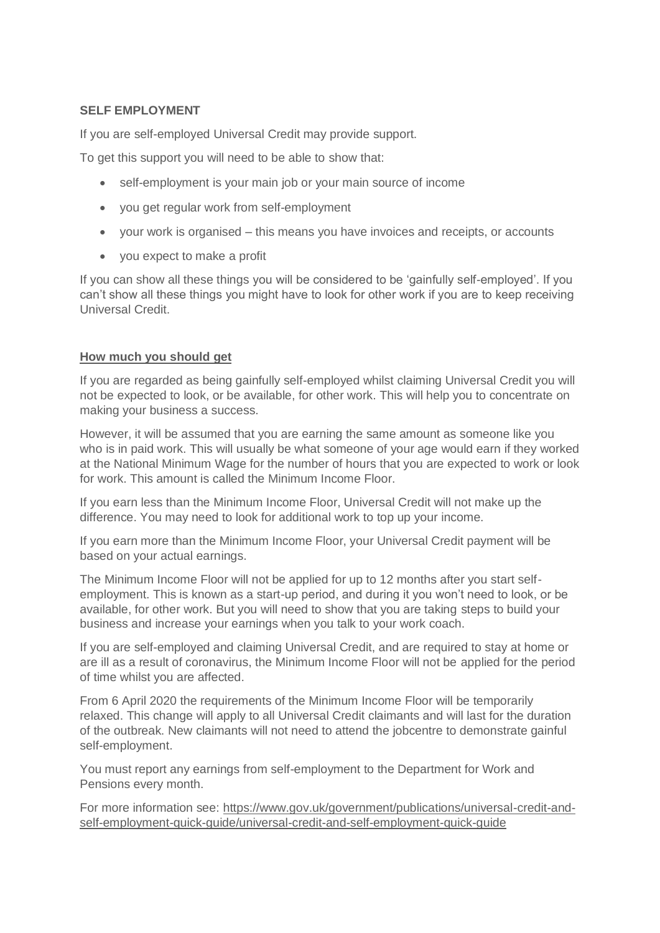## **SELF EMPLOYMENT**

If you are self-employed Universal Credit may provide support.

To get this support you will need to be able to show that:

- self-employment is your main job or your main source of income
- you get regular work from self-employment
- your work is organised this means you have invoices and receipts, or accounts
- you expect to make a profit

If you can show all these things you will be considered to be 'gainfully self-employed'. If you can't show all these things you might have to look for other work if you are to keep receiving Universal Credit.

## **How much you should get**

If you are regarded as being gainfully self-employed whilst claiming Universal Credit you will not be expected to look, or be available, for other work. This will help you to concentrate on making your business a success.

However, it will be assumed that you are earning the same amount as someone like you who is in paid work. This will usually be what someone of your age would earn if they worked at the National Minimum Wage for the number of hours that you are expected to work or look for work. This amount is called the Minimum Income Floor.

If you earn less than the Minimum Income Floor, Universal Credit will not make up the difference. You may need to look for additional work to top up your income.

If you earn more than the Minimum Income Floor, your Universal Credit payment will be based on your actual earnings.

The Minimum Income Floor will not be applied for up to 12 months after you start selfemployment. This is known as a start-up period, and during it you won't need to look, or be available, for other work. But you will need to show that you are taking steps to build your business and increase your earnings when you talk to your work coach.

If you are self-employed and claiming Universal Credit, and are required to stay at home or are ill as a result of coronavirus, the Minimum Income Floor will not be applied for the period of time whilst you are affected.

From 6 April 2020 the requirements of the Minimum Income Floor will be temporarily relaxed. This change will apply to all Universal Credit claimants and will last for the duration of the outbreak. New claimants will not need to attend the jobcentre to demonstrate gainful self-employment.

You must report any earnings from self-employment to the Department for Work and Pensions every month.

For more information see: [https://www.gov.uk/government/publications/universal-credit-and](https://www.gov.uk/government/publications/universal-credit-and-self-employment-quick-guide/universal-credit-and-self-employment-quick-guide)[self-employment-quick-guide/universal-credit-and-self-employment-quick-guide](https://www.gov.uk/government/publications/universal-credit-and-self-employment-quick-guide/universal-credit-and-self-employment-quick-guide)